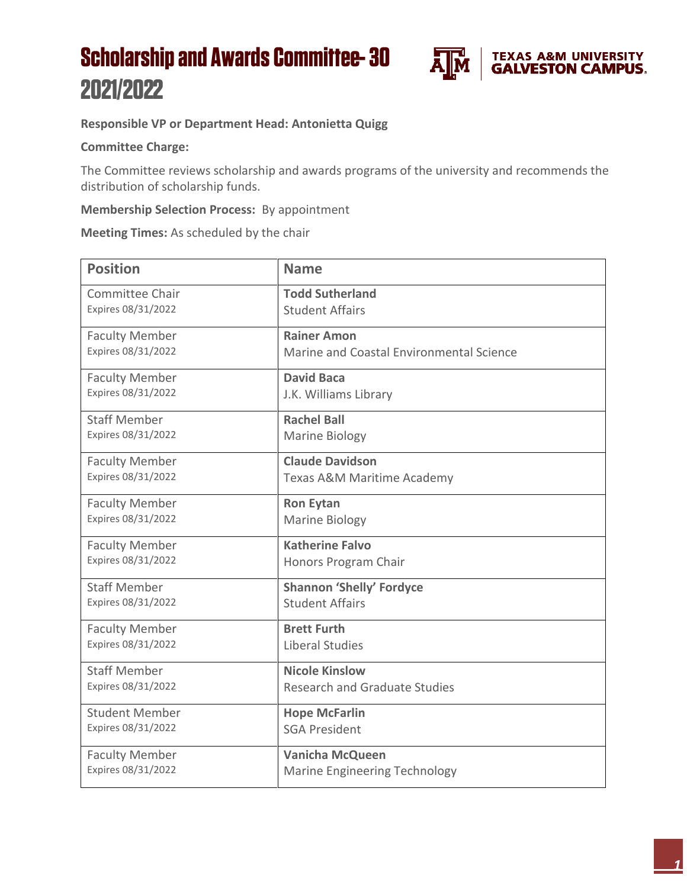## **Scholarship and Awards Committee-30** 2021/2022



## **Responsible VP or Department Head: Antonietta Quigg**

## **Committee Charge:**

The Committee reviews scholarship and awards programs of the university and recommends the distribution of scholarship funds.

## **Membership Selection Process:** By appointment

**Meeting Times:** As scheduled by the chair

| <b>Position</b>       | <b>Name</b>                              |
|-----------------------|------------------------------------------|
| Committee Chair       | <b>Todd Sutherland</b>                   |
| Expires 08/31/2022    | <b>Student Affairs</b>                   |
| <b>Faculty Member</b> | <b>Rainer Amon</b>                       |
| Expires 08/31/2022    | Marine and Coastal Environmental Science |
| <b>Faculty Member</b> | <b>David Baca</b>                        |
| Expires 08/31/2022    | J.K. Williams Library                    |
| <b>Staff Member</b>   | <b>Rachel Ball</b>                       |
| Expires 08/31/2022    | <b>Marine Biology</b>                    |
| <b>Faculty Member</b> | <b>Claude Davidson</b>                   |
| Expires 08/31/2022    | Texas A&M Maritime Academy               |
| <b>Faculty Member</b> | <b>Ron Eytan</b>                         |
| Expires 08/31/2022    | Marine Biology                           |
| <b>Faculty Member</b> | <b>Katherine Falvo</b>                   |
| Expires 08/31/2022    | Honors Program Chair                     |
| <b>Staff Member</b>   | <b>Shannon 'Shelly' Fordyce</b>          |
| Expires 08/31/2022    | <b>Student Affairs</b>                   |
| <b>Faculty Member</b> | <b>Brett Furth</b>                       |
| Expires 08/31/2022    | <b>Liberal Studies</b>                   |
| <b>Staff Member</b>   | <b>Nicole Kinslow</b>                    |
| Expires 08/31/2022    | <b>Research and Graduate Studies</b>     |
| <b>Student Member</b> | <b>Hope McFarlin</b>                     |
| Expires 08/31/2022    | <b>SGA President</b>                     |
| <b>Faculty Member</b> | <b>Vanicha McQueen</b>                   |
| Expires 08/31/2022    | <b>Marine Engineering Technology</b>     |